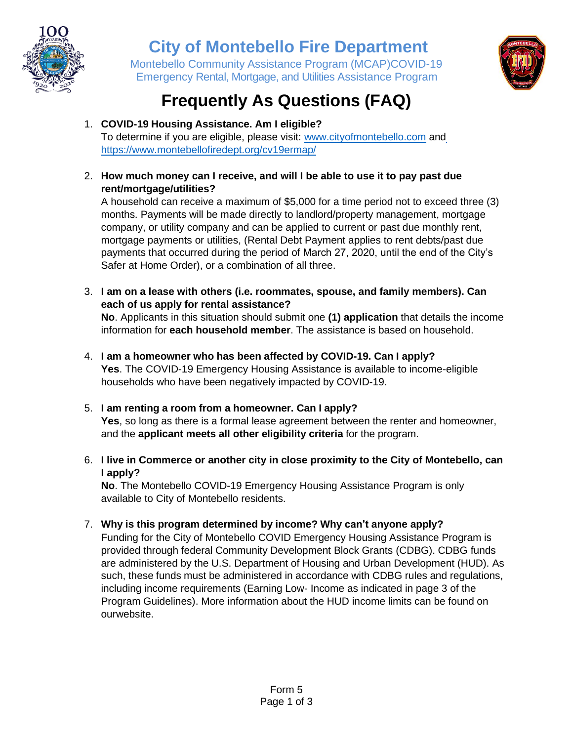

### **City of Montebello Fire Department**

Montebello Community Assistance Program (MCAP)COVID-19 Emergency Rental, Mortgage, and Utilities Assistance Program



## **Frequently As Questions (FAQ)**

- 1. **COVID-19 Housing Assistance. Am I eligible?** To determine if you are eligible, please visit: [www.cityofmontebello.com](http://www.cityofmontebello.com/) and https://www.montebellofiredept.org/cv19ermap/
- 2. **How much money can I receive, and will I be able to use it to pay past due rent/mortgage/utilities?**

A household can receive a maximum of \$5,000 for a time period not to exceed three (3) months. Payments will be made directly to landlord/property management, mortgage company, or utility company and can be applied to current or past due monthly rent, mortgage payments or utilities, (Rental Debt Payment applies to rent debts/past due payments that occurred during the period of March 27, 2020, until the end of the City's Safer at Home Order), or a combination of all three.

3. **I am on a lease with others (i.e. roommates, spouse, and family members). Can each of us apply for rental assistance?**

**No**. Applicants in this situation should submit one **(1) application** that details the income information for **each household member**. The assistance is based on household.

- 4. **I am a homeowner who has been affected by COVID-19. Can I apply? Yes**. The COVID-19 Emergency Housing Assistance is available to income-eligible households who have been negatively impacted by COVID-19.
- 5. **I am renting a room from a homeowner. Can I apply? Yes**, so long as there is a formal lease agreement between the renter and homeowner, and the **applicant meets all other eligibility criteria** for the program.
- 6. **I live in Commerce or another city in close proximity to the City of Montebello, can I apply?**

**No**. The Montebello COVID-19 Emergency Housing Assistance Program is only available to City of Montebello residents.

7. **Why is this program determined by income? Why can't anyone apply?**

Funding for the City of Montebello COVID Emergency Housing Assistance Program is provided through federal Community Development Block Grants (CDBG). CDBG funds are administered by the U.S. Department of Housing and Urban Development (HUD). As such, these funds must be administered in accordance with CDBG rules and regulations, including income requirements (Earning Low- Income as indicated in page 3 of the Program Guidelines). More information about the HUD income limits can be found on ourwebsite.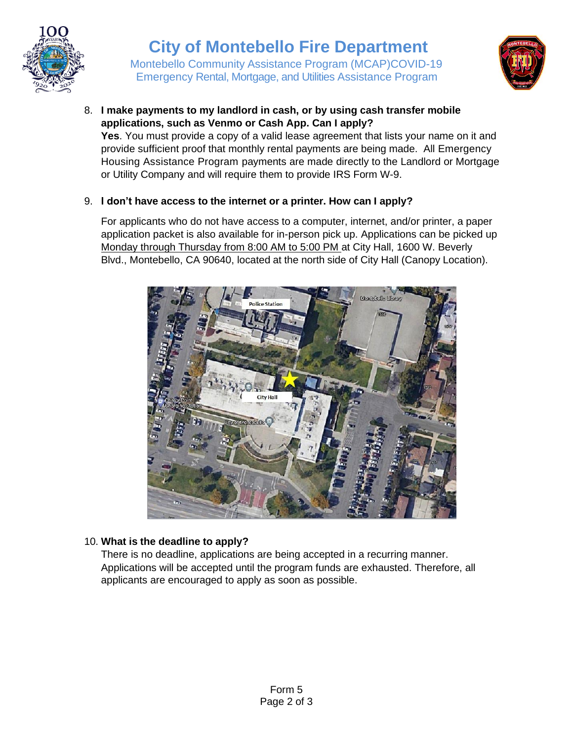

## **City of Montebello Fire Department**

Montebello Community Assistance Program (MCAP)COVID-19 Emergency Rental, Mortgage, and Utilities Assistance Program



8. **I make payments to my landlord in cash, or by using cash transfer mobile applications, such as Venmo or Cash App. Can I apply?**

**Yes**. You must provide a copy of a valid lease agreement that lists your name on it and provide sufficient proof that monthly rental payments are being made. All Emergency Housing Assistance Program payments are made directly to the Landlord or Mortgage or Utility Company and will require them to provide IRS Form W-9.

#### 9. **I don't have access to the internet or a printer. How can I apply?**

For applicants who do not have access to a computer, internet, and/or printer, a paper application packet is also available for in-person pick up. Applications can be picked up Monday through Thursday from 8:00 AM to 5:00 PM at City Hall, 1600 W. Beverly Blvd., Montebello, CA 90640, located at the north side of City Hall (Canopy Location).



#### 10. **What is the deadline to apply?**

There is no deadline, applications are being accepted in a recurring manner. Applications will be accepted until the program funds are exhausted. Therefore, all applicants are encouraged to apply as soon as possible.